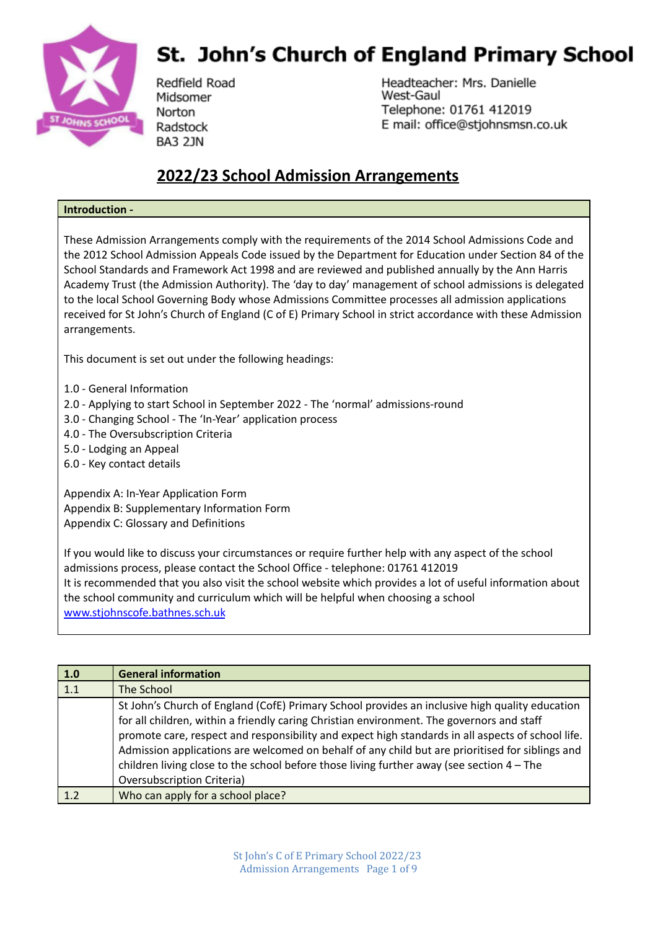

## **St. John's Church of England Primary School**

Redfield Road Midsomer Norton Radstock **BA3 2JN** 

Headteacher: Mrs. Danielle West-Gaul Telephone: 01761 412019 E mail: office@stjohnsmsn.co.uk

## **2022/23 School Admission Arrangements**

## **Introduction -**

These Admission Arrangements comply with the requirements of the 2014 School Admissions Code and the 2012 School Admission Appeals Code issued by the Department for Education under Section 84 of the School Standards and Framework Act 1998 and are reviewed and published annually by the Ann Harris Academy Trust (the Admission Authority). The 'day to day' management of school admissions is delegated to the local School Governing Body whose Admissions Committee processes all admission applications received for St John's Church of England (C of E) Primary School in strict accordance with these Admission arrangements.

This document is set out under the following headings:

- 1.0 General Information
- 2.0 Applying to start School in September 2022 The 'normal' admissions-round
- 3.0 Changing School The 'In-Year' application process
- 4.0 The Oversubscription Criteria
- 5.0 Lodging an Appeal
- 6.0 Key contact details

Appendix A: In-Year Application Form Appendix B: Supplementary Information Form Appendix C: Glossary and Definitions

If you would like to discuss your circumstances or require further help with any aspect of the school admissions process, please contact the School Office - telephone: 01761 412019 It is recommended that you also visit the school website which provides a lot of useful information about the school community and curriculum which will be helpful when choosing a school [www.stjohnscofe.bathnes.sch.uk](http://www.stjohnscofe.bathnes.sch.uk)

| 1.0 | <b>General information</b>                                                                        |
|-----|---------------------------------------------------------------------------------------------------|
| 1.1 | The School                                                                                        |
|     | St John's Church of England (CofE) Primary School provides an inclusive high quality education    |
|     | for all children, within a friendly caring Christian environment. The governors and staff         |
|     | promote care, respect and responsibility and expect high standards in all aspects of school life. |
|     | Admission applications are welcomed on behalf of any child but are prioritised for siblings and   |
|     | children living close to the school before those living further away (see section $4 - The$       |
|     | <b>Oversubscription Criteria)</b>                                                                 |
| 12  | Who can apply for a school place?                                                                 |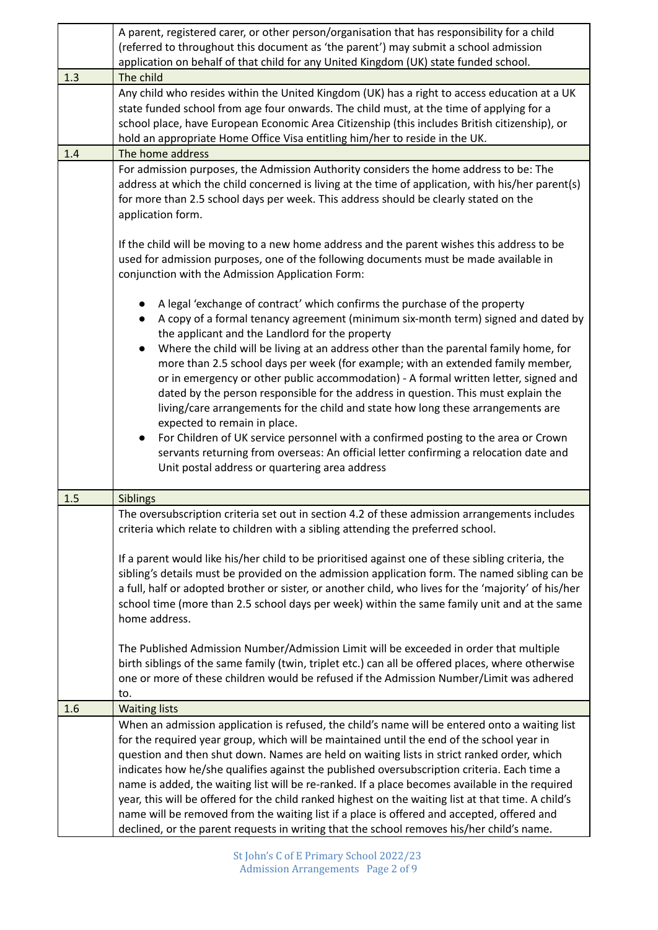|     | A parent, registered carer, or other person/organisation that has responsibility for a child                                                                                                        |  |
|-----|-----------------------------------------------------------------------------------------------------------------------------------------------------------------------------------------------------|--|
|     | (referred to throughout this document as 'the parent') may submit a school admission<br>application on behalf of that child for any United Kingdom (UK) state funded school.                        |  |
|     |                                                                                                                                                                                                     |  |
| 1.3 | The child<br>Any child who resides within the United Kingdom (UK) has a right to access education at a UK                                                                                           |  |
|     | state funded school from age four onwards. The child must, at the time of applying for a                                                                                                            |  |
|     | school place, have European Economic Area Citizenship (this includes British citizenship), or                                                                                                       |  |
|     | hold an appropriate Home Office Visa entitling him/her to reside in the UK.                                                                                                                         |  |
| 1.4 | The home address                                                                                                                                                                                    |  |
|     | For admission purposes, the Admission Authority considers the home address to be: The                                                                                                               |  |
|     | address at which the child concerned is living at the time of application, with his/her parent(s)                                                                                                   |  |
|     | for more than 2.5 school days per week. This address should be clearly stated on the                                                                                                                |  |
|     | application form.                                                                                                                                                                                   |  |
|     |                                                                                                                                                                                                     |  |
|     | If the child will be moving to a new home address and the parent wishes this address to be<br>used for admission purposes, one of the following documents must be made available in                 |  |
|     |                                                                                                                                                                                                     |  |
|     | conjunction with the Admission Application Form:                                                                                                                                                    |  |
|     | A legal 'exchange of contract' which confirms the purchase of the property                                                                                                                          |  |
|     | A copy of a formal tenancy agreement (minimum six-month term) signed and dated by                                                                                                                   |  |
|     | the applicant and the Landlord for the property                                                                                                                                                     |  |
|     | Where the child will be living at an address other than the parental family home, for                                                                                                               |  |
|     | more than 2.5 school days per week (for example; with an extended family member,                                                                                                                    |  |
|     | or in emergency or other public accommodation) - A formal written letter, signed and                                                                                                                |  |
|     | dated by the person responsible for the address in question. This must explain the                                                                                                                  |  |
|     | living/care arrangements for the child and state how long these arrangements are                                                                                                                    |  |
|     | expected to remain in place.<br>For Children of UK service personnel with a confirmed posting to the area or Crown                                                                                  |  |
|     | servants returning from overseas: An official letter confirming a relocation date and                                                                                                               |  |
|     | Unit postal address or quartering area address                                                                                                                                                      |  |
|     |                                                                                                                                                                                                     |  |
| 1.5 | Siblings                                                                                                                                                                                            |  |
|     | The oversubscription criteria set out in section 4.2 of these admission arrangements includes                                                                                                       |  |
|     | criteria which relate to children with a sibling attending the preferred school.                                                                                                                    |  |
|     |                                                                                                                                                                                                     |  |
|     | If a parent would like his/her child to be prioritised against one of these sibling criteria, the<br>sibling's details must be provided on the admission application form. The named sibling can be |  |
|     | a full, half or adopted brother or sister, or another child, who lives for the 'majority' of his/her                                                                                                |  |
|     | school time (more than 2.5 school days per week) within the same family unit and at the same                                                                                                        |  |
|     | home address.                                                                                                                                                                                       |  |
|     |                                                                                                                                                                                                     |  |
|     | The Published Admission Number/Admission Limit will be exceeded in order that multiple                                                                                                              |  |
|     | birth siblings of the same family (twin, triplet etc.) can all be offered places, where otherwise                                                                                                   |  |
|     | one or more of these children would be refused if the Admission Number/Limit was adhered                                                                                                            |  |
|     | to.                                                                                                                                                                                                 |  |
| 1.6 | <b>Waiting lists</b>                                                                                                                                                                                |  |
|     | When an admission application is refused, the child's name will be entered onto a waiting list                                                                                                      |  |
|     | for the required year group, which will be maintained until the end of the school year in<br>question and then shut down. Names are held on waiting lists in strict ranked order, which             |  |
|     | indicates how he/she qualifies against the published oversubscription criteria. Each time a                                                                                                         |  |
|     | name is added, the waiting list will be re-ranked. If a place becomes available in the required                                                                                                     |  |
|     | year, this will be offered for the child ranked highest on the waiting list at that time. A child's                                                                                                 |  |
|     | name will be removed from the waiting list if a place is offered and accepted, offered and                                                                                                          |  |
|     | declined, or the parent requests in writing that the school removes his/her child's name.                                                                                                           |  |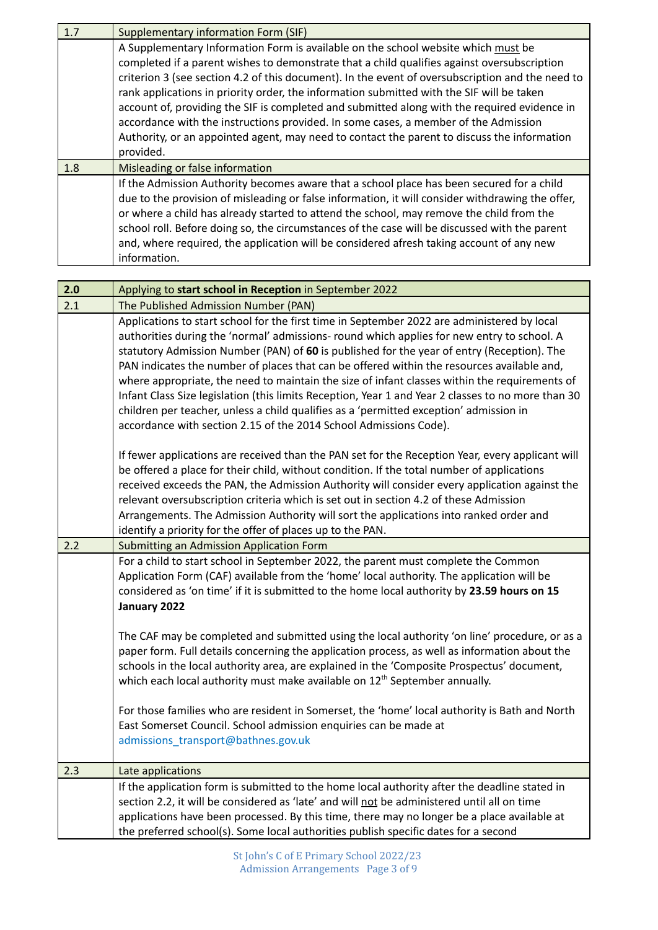| 1.7 | <b>Supplementary information Form (SIF)</b>                                                                                                                                                                                                                                                                                                                                                                                                                                                                                                                                                                                                                                          |
|-----|--------------------------------------------------------------------------------------------------------------------------------------------------------------------------------------------------------------------------------------------------------------------------------------------------------------------------------------------------------------------------------------------------------------------------------------------------------------------------------------------------------------------------------------------------------------------------------------------------------------------------------------------------------------------------------------|
|     | A Supplementary Information Form is available on the school website which must be<br>completed if a parent wishes to demonstrate that a child qualifies against oversubscription<br>criterion 3 (see section 4.2 of this document). In the event of oversubscription and the need to<br>rank applications in priority order, the information submitted with the SIF will be taken<br>account of, providing the SIF is completed and submitted along with the required evidence in<br>accordance with the instructions provided. In some cases, a member of the Admission<br>Authority, or an appointed agent, may need to contact the parent to discuss the information<br>provided. |
| 1.8 | Misleading or false information                                                                                                                                                                                                                                                                                                                                                                                                                                                                                                                                                                                                                                                      |
|     | If the Admission Authority becomes aware that a school place has been secured for a child<br>due to the provision of misleading or false information, it will consider withdrawing the offer,<br>or where a child has already started to attend the school, may remove the child from the<br>school roll. Before doing so, the circumstances of the case will be discussed with the parent<br>and, where required, the application will be considered afresh taking account of any new<br>information.                                                                                                                                                                               |

| 2.0 | Applying to start school in Reception in September 2022                                                                                                                                                                                                                                                                                                                                                                                                                                                                                                                                                                                                                                                                                                                                                                                                                                              |  |
|-----|------------------------------------------------------------------------------------------------------------------------------------------------------------------------------------------------------------------------------------------------------------------------------------------------------------------------------------------------------------------------------------------------------------------------------------------------------------------------------------------------------------------------------------------------------------------------------------------------------------------------------------------------------------------------------------------------------------------------------------------------------------------------------------------------------------------------------------------------------------------------------------------------------|--|
| 2.1 | The Published Admission Number (PAN)                                                                                                                                                                                                                                                                                                                                                                                                                                                                                                                                                                                                                                                                                                                                                                                                                                                                 |  |
|     | Applications to start school for the first time in September 2022 are administered by local<br>authorities during the 'normal' admissions- round which applies for new entry to school. A<br>statutory Admission Number (PAN) of 60 is published for the year of entry (Reception). The<br>PAN indicates the number of places that can be offered within the resources available and,<br>where appropriate, the need to maintain the size of infant classes within the requirements of<br>Infant Class Size legislation (this limits Reception, Year 1 and Year 2 classes to no more than 30<br>children per teacher, unless a child qualifies as a 'permitted exception' admission in<br>accordance with section 2.15 of the 2014 School Admissions Code).                                                                                                                                          |  |
|     | If fewer applications are received than the PAN set for the Reception Year, every applicant will<br>be offered a place for their child, without condition. If the total number of applications<br>received exceeds the PAN, the Admission Authority will consider every application against the<br>relevant oversubscription criteria which is set out in section 4.2 of these Admission<br>Arrangements. The Admission Authority will sort the applications into ranked order and<br>identify a priority for the offer of places up to the PAN.                                                                                                                                                                                                                                                                                                                                                     |  |
| 2.2 | Submitting an Admission Application Form                                                                                                                                                                                                                                                                                                                                                                                                                                                                                                                                                                                                                                                                                                                                                                                                                                                             |  |
|     | For a child to start school in September 2022, the parent must complete the Common<br>Application Form (CAF) available from the 'home' local authority. The application will be<br>considered as 'on time' if it is submitted to the home local authority by 23.59 hours on 15<br>January 2022<br>The CAF may be completed and submitted using the local authority 'on line' procedure, or as a<br>paper form. Full details concerning the application process, as well as information about the<br>schools in the local authority area, are explained in the 'Composite Prospectus' document,<br>which each local authority must make available on 12 <sup>th</sup> September annually.<br>For those families who are resident in Somerset, the 'home' local authority is Bath and North<br>East Somerset Council. School admission enquiries can be made at<br>admissions_transport@bathnes.gov.uk |  |
| 2.3 | Late applications                                                                                                                                                                                                                                                                                                                                                                                                                                                                                                                                                                                                                                                                                                                                                                                                                                                                                    |  |
|     | If the application form is submitted to the home local authority after the deadline stated in<br>section 2.2, it will be considered as 'late' and will not be administered until all on time<br>applications have been processed. By this time, there may no longer be a place available at<br>the preferred school(s). Some local authorities publish specific dates for a second                                                                                                                                                                                                                                                                                                                                                                                                                                                                                                                   |  |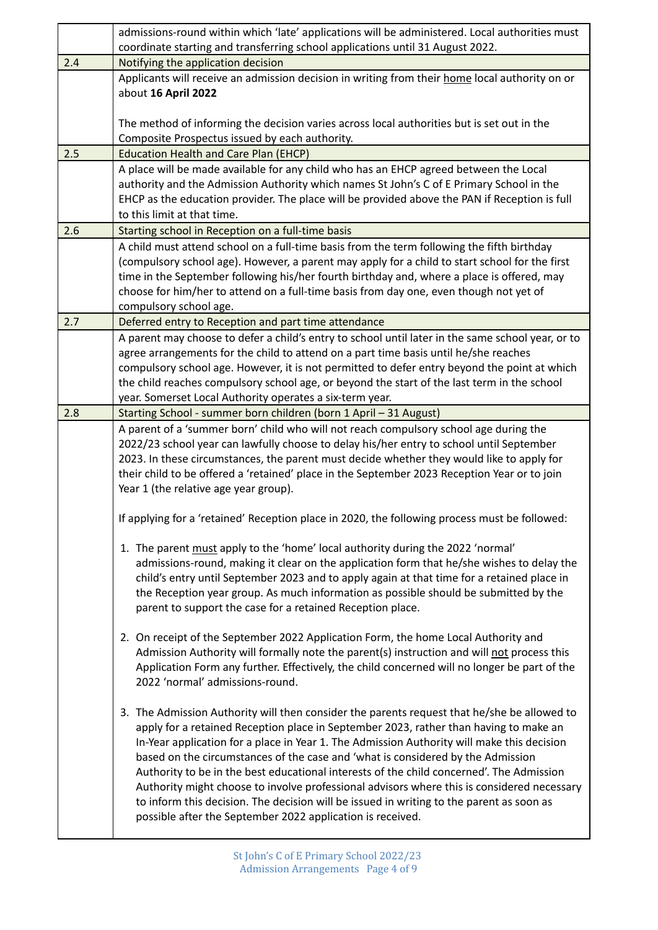|     | admissions-round within which 'late' applications will be administered. Local authorities must                                                                                                                                                                                                                                                                                                                                                                                                                                                                                                                                                                                                                            |
|-----|---------------------------------------------------------------------------------------------------------------------------------------------------------------------------------------------------------------------------------------------------------------------------------------------------------------------------------------------------------------------------------------------------------------------------------------------------------------------------------------------------------------------------------------------------------------------------------------------------------------------------------------------------------------------------------------------------------------------------|
|     | coordinate starting and transferring school applications until 31 August 2022.                                                                                                                                                                                                                                                                                                                                                                                                                                                                                                                                                                                                                                            |
| 2.4 | Notifying the application decision                                                                                                                                                                                                                                                                                                                                                                                                                                                                                                                                                                                                                                                                                        |
|     | Applicants will receive an admission decision in writing from their home local authority on or<br>about 16 April 2022                                                                                                                                                                                                                                                                                                                                                                                                                                                                                                                                                                                                     |
|     | The method of informing the decision varies across local authorities but is set out in the<br>Composite Prospectus issued by each authority.                                                                                                                                                                                                                                                                                                                                                                                                                                                                                                                                                                              |
| 2.5 | <b>Education Health and Care Plan (EHCP)</b>                                                                                                                                                                                                                                                                                                                                                                                                                                                                                                                                                                                                                                                                              |
|     | A place will be made available for any child who has an EHCP agreed between the Local<br>authority and the Admission Authority which names St John's C of E Primary School in the<br>EHCP as the education provider. The place will be provided above the PAN if Reception is full<br>to this limit at that time.                                                                                                                                                                                                                                                                                                                                                                                                         |
| 2.6 | Starting school in Reception on a full-time basis                                                                                                                                                                                                                                                                                                                                                                                                                                                                                                                                                                                                                                                                         |
|     | A child must attend school on a full-time basis from the term following the fifth birthday<br>(compulsory school age). However, a parent may apply for a child to start school for the first<br>time in the September following his/her fourth birthday and, where a place is offered, may<br>choose for him/her to attend on a full-time basis from day one, even though not yet of<br>compulsory school age.                                                                                                                                                                                                                                                                                                            |
| 2.7 | Deferred entry to Reception and part time attendance                                                                                                                                                                                                                                                                                                                                                                                                                                                                                                                                                                                                                                                                      |
|     | A parent may choose to defer a child's entry to school until later in the same school year, or to<br>agree arrangements for the child to attend on a part time basis until he/she reaches<br>compulsory school age. However, it is not permitted to defer entry beyond the point at which<br>the child reaches compulsory school age, or beyond the start of the last term in the school<br>year. Somerset Local Authority operates a six-term year.                                                                                                                                                                                                                                                                      |
| 2.8 | Starting School - summer born children (born 1 April - 31 August)                                                                                                                                                                                                                                                                                                                                                                                                                                                                                                                                                                                                                                                         |
|     | A parent of a 'summer born' child who will not reach compulsory school age during the<br>2022/23 school year can lawfully choose to delay his/her entry to school until September<br>2023. In these circumstances, the parent must decide whether they would like to apply for<br>their child to be offered a 'retained' place in the September 2023 Reception Year or to join<br>Year 1 (the relative age year group).                                                                                                                                                                                                                                                                                                   |
|     | If applying for a 'retained' Reception place in 2020, the following process must be followed:                                                                                                                                                                                                                                                                                                                                                                                                                                                                                                                                                                                                                             |
|     | 1. The parent must apply to the 'home' local authority during the 2022 'normal'<br>admissions-round, making it clear on the application form that he/she wishes to delay the<br>child's entry until September 2023 and to apply again at that time for a retained place in<br>the Reception year group. As much information as possible should be submitted by the<br>parent to support the case for a retained Reception place.                                                                                                                                                                                                                                                                                          |
|     | 2. On receipt of the September 2022 Application Form, the home Local Authority and<br>Admission Authority will formally note the parent(s) instruction and will not process this<br>Application Form any further. Effectively, the child concerned will no longer be part of the<br>2022 'normal' admissions-round.                                                                                                                                                                                                                                                                                                                                                                                                       |
|     | 3. The Admission Authority will then consider the parents request that he/she be allowed to<br>apply for a retained Reception place in September 2023, rather than having to make an<br>In-Year application for a place in Year 1. The Admission Authority will make this decision<br>based on the circumstances of the case and 'what is considered by the Admission<br>Authority to be in the best educational interests of the child concerned'. The Admission<br>Authority might choose to involve professional advisors where this is considered necessary<br>to inform this decision. The decision will be issued in writing to the parent as soon as<br>possible after the September 2022 application is received. |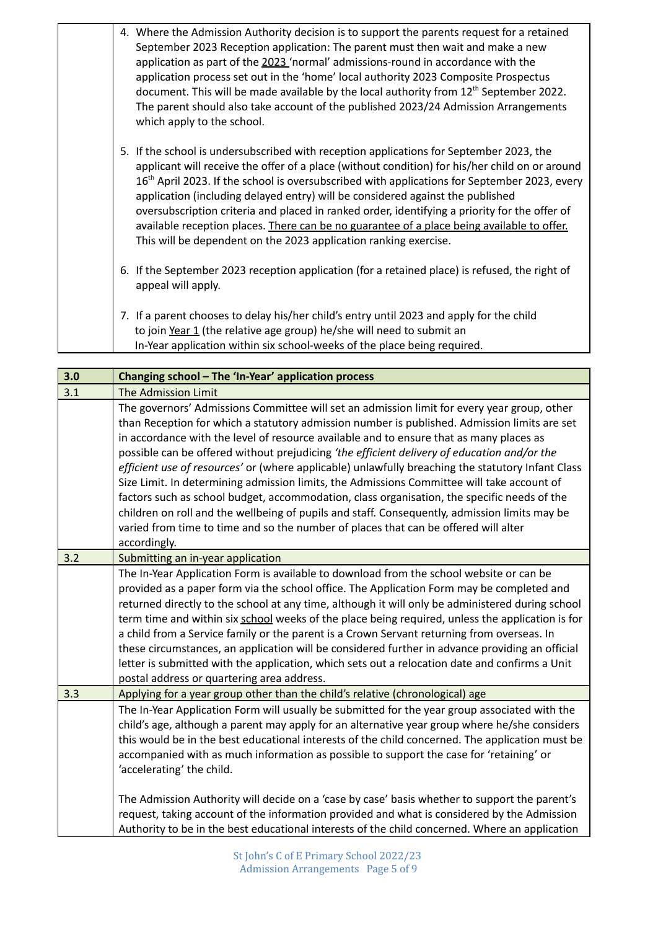|  | 4. Where the Admission Authority decision is to support the parents request for a retained<br>September 2023 Reception application: The parent must then wait and make a new<br>application as part of the 2023 'normal' admissions-round in accordance with the<br>application process set out in the 'home' local authority 2023 Composite Prospectus<br>document. This will be made available by the local authority from 12 <sup>th</sup> September 2022.<br>The parent should also take account of the published 2023/24 Admission Arrangements<br>which apply to the school.                                                                         |
|--|------------------------------------------------------------------------------------------------------------------------------------------------------------------------------------------------------------------------------------------------------------------------------------------------------------------------------------------------------------------------------------------------------------------------------------------------------------------------------------------------------------------------------------------------------------------------------------------------------------------------------------------------------------|
|  | 5. If the school is undersubscribed with reception applications for September 2023, the<br>applicant will receive the offer of a place (without condition) for his/her child on or around<br>16 <sup>th</sup> April 2023. If the school is oversubscribed with applications for September 2023, every<br>application (including delayed entry) will be considered against the published<br>oversubscription criteria and placed in ranked order, identifying a priority for the offer of<br>available reception places. There can be no guarantee of a place being available to offer.<br>This will be dependent on the 2023 application ranking exercise. |
|  | 6. If the September 2023 reception application (for a retained place) is refused, the right of<br>appeal will apply.                                                                                                                                                                                                                                                                                                                                                                                                                                                                                                                                       |
|  | 7. If a parent chooses to delay his/her child's entry until 2023 and apply for the child<br>to join Year 1 (the relative age group) he/she will need to submit an<br>In-Year application within six school-weeks of the place being required.                                                                                                                                                                                                                                                                                                                                                                                                              |

| 3.0 | Changing school - The 'In-Year' application process                                                                                                                                                                                                                                                                                                                                                                                                                                                                                                                                                                                                                                                                                                                                                                                                                                             |
|-----|-------------------------------------------------------------------------------------------------------------------------------------------------------------------------------------------------------------------------------------------------------------------------------------------------------------------------------------------------------------------------------------------------------------------------------------------------------------------------------------------------------------------------------------------------------------------------------------------------------------------------------------------------------------------------------------------------------------------------------------------------------------------------------------------------------------------------------------------------------------------------------------------------|
| 3.1 | The Admission Limit                                                                                                                                                                                                                                                                                                                                                                                                                                                                                                                                                                                                                                                                                                                                                                                                                                                                             |
|     | The governors' Admissions Committee will set an admission limit for every year group, other<br>than Reception for which a statutory admission number is published. Admission limits are set<br>in accordance with the level of resource available and to ensure that as many places as<br>possible can be offered without prejudicing 'the efficient delivery of education and/or the<br>efficient use of resources' or (where applicable) unlawfully breaching the statutory Infant Class<br>Size Limit. In determining admission limits, the Admissions Committee will take account of<br>factors such as school budget, accommodation, class organisation, the specific needs of the<br>children on roll and the wellbeing of pupils and staff. Consequently, admission limits may be<br>varied from time to time and so the number of places that can be offered will alter<br>accordingly. |
| 3.2 | Submitting an in-year application                                                                                                                                                                                                                                                                                                                                                                                                                                                                                                                                                                                                                                                                                                                                                                                                                                                               |
|     | The In-Year Application Form is available to download from the school website or can be<br>provided as a paper form via the school office. The Application Form may be completed and<br>returned directly to the school at any time, although it will only be administered during school<br>term time and within six school weeks of the place being required, unless the application is for<br>a child from a Service family or the parent is a Crown Servant returning from overseas. In<br>these circumstances, an application will be considered further in advance providing an official<br>letter is submitted with the application, which sets out a relocation date and confirms a Unit<br>postal address or quartering area address.                                                                                                                                                   |
| 3.3 | Applying for a year group other than the child's relative (chronological) age                                                                                                                                                                                                                                                                                                                                                                                                                                                                                                                                                                                                                                                                                                                                                                                                                   |
|     | The In-Year Application Form will usually be submitted for the year group associated with the<br>child's age, although a parent may apply for an alternative year group where he/she considers<br>this would be in the best educational interests of the child concerned. The application must be<br>accompanied with as much information as possible to support the case for 'retaining' or<br>'accelerating' the child.                                                                                                                                                                                                                                                                                                                                                                                                                                                                       |
|     | The Admission Authority will decide on a 'case by case' basis whether to support the parent's<br>request, taking account of the information provided and what is considered by the Admission<br>Authority to be in the best educational interests of the child concerned. Where an application                                                                                                                                                                                                                                                                                                                                                                                                                                                                                                                                                                                                  |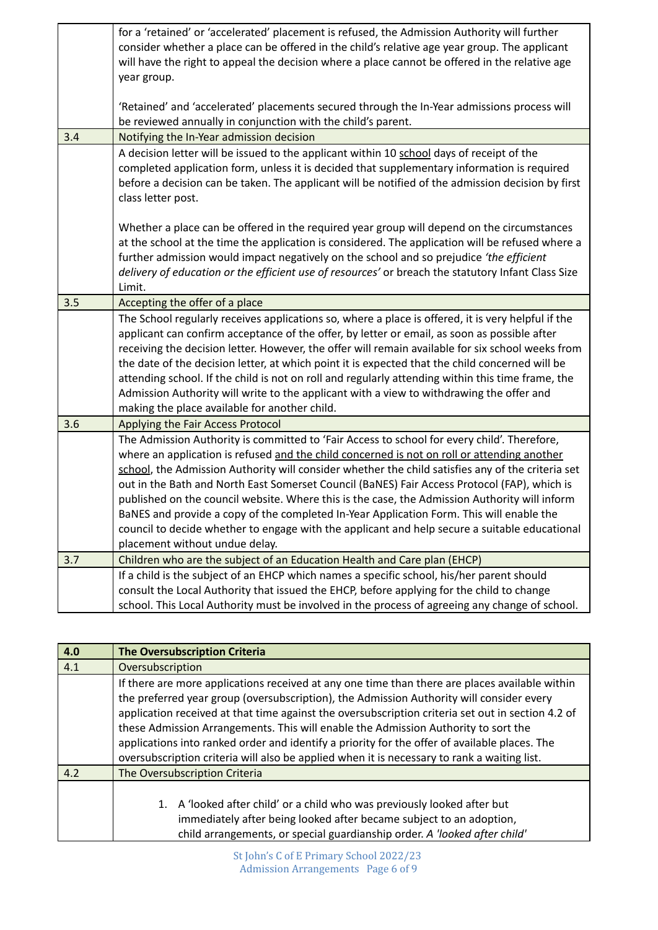|                                                                                                | for a 'retained' or 'accelerated' placement is refused, the Admission Authority will further       |  |  |
|------------------------------------------------------------------------------------------------|----------------------------------------------------------------------------------------------------|--|--|
|                                                                                                | consider whether a place can be offered in the child's relative age year group. The applicant      |  |  |
| will have the right to appeal the decision where a place cannot be offered in the relative age |                                                                                                    |  |  |
|                                                                                                | year group.                                                                                        |  |  |
|                                                                                                |                                                                                                    |  |  |
|                                                                                                | 'Retained' and 'accelerated' placements secured through the In-Year admissions process will        |  |  |
| be reviewed annually in conjunction with the child's parent.                                   |                                                                                                    |  |  |
| 3.4                                                                                            | Notifying the In-Year admission decision                                                           |  |  |
|                                                                                                | A decision letter will be issued to the applicant within 10 school days of receipt of the          |  |  |
|                                                                                                | completed application form, unless it is decided that supplementary information is required        |  |  |
|                                                                                                | before a decision can be taken. The applicant will be notified of the admission decision by first  |  |  |
|                                                                                                | class letter post.                                                                                 |  |  |
|                                                                                                |                                                                                                    |  |  |
|                                                                                                | Whether a place can be offered in the required year group will depend on the circumstances         |  |  |
|                                                                                                | at the school at the time the application is considered. The application will be refused where a   |  |  |
|                                                                                                | further admission would impact negatively on the school and so prejudice 'the efficient            |  |  |
|                                                                                                | delivery of education or the efficient use of resources' or breach the statutory Infant Class Size |  |  |
|                                                                                                | Limit.                                                                                             |  |  |
| 3.5                                                                                            | Accepting the offer of a place                                                                     |  |  |
|                                                                                                | The School regularly receives applications so, where a place is offered, it is very helpful if the |  |  |
|                                                                                                | applicant can confirm acceptance of the offer, by letter or email, as soon as possible after       |  |  |
|                                                                                                | receiving the decision letter. However, the offer will remain available for six school weeks from  |  |  |
|                                                                                                | the date of the decision letter, at which point it is expected that the child concerned will be    |  |  |
|                                                                                                | attending school. If the child is not on roll and regularly attending within this time frame, the  |  |  |
|                                                                                                | Admission Authority will write to the applicant with a view to withdrawing the offer and           |  |  |
|                                                                                                | making the place available for another child.                                                      |  |  |
| 3.6                                                                                            | Applying the Fair Access Protocol                                                                  |  |  |
|                                                                                                | The Admission Authority is committed to 'Fair Access to school for every child'. Therefore,        |  |  |
|                                                                                                | where an application is refused and the child concerned is not on roll or attending another        |  |  |
|                                                                                                | school, the Admission Authority will consider whether the child satisfies any of the criteria set  |  |  |
|                                                                                                | out in the Bath and North East Somerset Council (BaNES) Fair Access Protocol (FAP), which is       |  |  |
|                                                                                                | published on the council website. Where this is the case, the Admission Authority will inform      |  |  |
|                                                                                                | BaNES and provide a copy of the completed In-Year Application Form. This will enable the           |  |  |
|                                                                                                | council to decide whether to engage with the applicant and help secure a suitable educational      |  |  |
|                                                                                                | placement without undue delay.                                                                     |  |  |
| 3.7                                                                                            | Children who are the subject of an Education Health and Care plan (EHCP)                           |  |  |
|                                                                                                | If a child is the subject of an EHCP which names a specific school, his/her parent should          |  |  |
|                                                                                                | consult the Local Authority that issued the EHCP, before applying for the child to change          |  |  |
|                                                                                                | school. This Local Authority must be involved in the process of agreeing any change of school.     |  |  |

| 4.0 | <b>The Oversubscription Criteria</b>                                                                                                                                                                                                                                                                                                                                                                                                                                                                                                                                                  |  |
|-----|---------------------------------------------------------------------------------------------------------------------------------------------------------------------------------------------------------------------------------------------------------------------------------------------------------------------------------------------------------------------------------------------------------------------------------------------------------------------------------------------------------------------------------------------------------------------------------------|--|
| 4.1 | Oversubscription                                                                                                                                                                                                                                                                                                                                                                                                                                                                                                                                                                      |  |
|     | If there are more applications received at any one time than there are places available within<br>the preferred year group (oversubscription), the Admission Authority will consider every<br>application received at that time against the oversubscription criteria set out in section 4.2 of<br>these Admission Arrangements. This will enable the Admission Authority to sort the<br>applications into ranked order and identify a priority for the offer of available places. The<br>oversubscription criteria will also be applied when it is necessary to rank a waiting list. |  |
| 4.2 | The Oversubscription Criteria                                                                                                                                                                                                                                                                                                                                                                                                                                                                                                                                                         |  |
|     | A 'looked after child' or a child who was previously looked after but<br>1.<br>immediately after being looked after became subject to an adoption,<br>child arrangements, or special guardianship order. A 'looked after child'                                                                                                                                                                                                                                                                                                                                                       |  |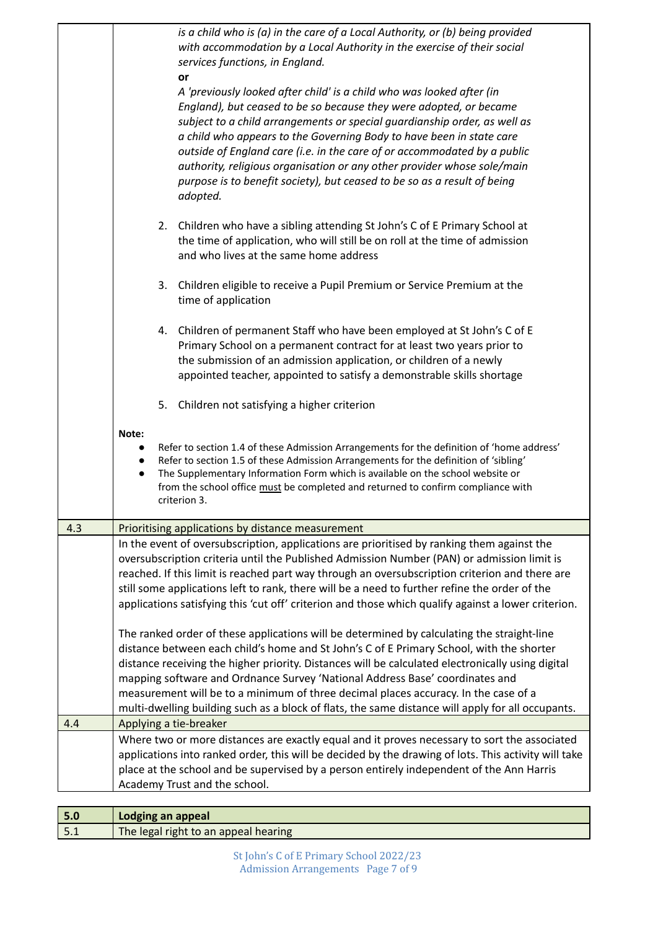|     |                                 | is a child who is (a) in the care of a Local Authority, or (b) being provided<br>with accommodation by a Local Authority in the exercise of their social<br>services functions, in England.<br>or<br>A 'previously looked after child' is a child who was looked after (in<br>England), but ceased to be so because they were adopted, or became<br>subject to a child arrangements or special guardianship order, as well as<br>a child who appears to the Governing Body to have been in state care<br>outside of England care (i.e. in the care of or accommodated by a public<br>authority, religious organisation or any other provider whose sole/main<br>purpose is to benefit society), but ceased to be so as a result of being<br>adopted. |
|-----|---------------------------------|------------------------------------------------------------------------------------------------------------------------------------------------------------------------------------------------------------------------------------------------------------------------------------------------------------------------------------------------------------------------------------------------------------------------------------------------------------------------------------------------------------------------------------------------------------------------------------------------------------------------------------------------------------------------------------------------------------------------------------------------------|
|     |                                 | 2. Children who have a sibling attending St John's C of E Primary School at<br>the time of application, who will still be on roll at the time of admission<br>and who lives at the same home address                                                                                                                                                                                                                                                                                                                                                                                                                                                                                                                                                 |
|     |                                 | 3. Children eligible to receive a Pupil Premium or Service Premium at the<br>time of application                                                                                                                                                                                                                                                                                                                                                                                                                                                                                                                                                                                                                                                     |
|     |                                 | 4. Children of permanent Staff who have been employed at St John's C of E<br>Primary School on a permanent contract for at least two years prior to<br>the submission of an admission application, or children of a newly<br>appointed teacher, appointed to satisfy a demonstrable skills shortage                                                                                                                                                                                                                                                                                                                                                                                                                                                  |
|     |                                 | 5. Children not satisfying a higher criterion                                                                                                                                                                                                                                                                                                                                                                                                                                                                                                                                                                                                                                                                                                        |
|     | Note:<br>$\bullet$<br>$\bullet$ | Refer to section 1.4 of these Admission Arrangements for the definition of 'home address'<br>Refer to section 1.5 of these Admission Arrangements for the definition of 'sibling'<br>The Supplementary Information Form which is available on the school website or<br>from the school office must be completed and returned to confirm compliance with<br>criterion 3.                                                                                                                                                                                                                                                                                                                                                                              |
| 4.3 |                                 | Prioritising applications by distance measurement                                                                                                                                                                                                                                                                                                                                                                                                                                                                                                                                                                                                                                                                                                    |
|     |                                 | In the event of oversubscription, applications are prioritised by ranking them against the<br>oversubscription criteria until the Published Admission Number (PAN) or admission limit is<br>reached. If this limit is reached part way through an oversubscription criterion and there are<br>still some applications left to rank, there will be a need to further refine the order of the<br>applications satisfying this 'cut off' criterion and those which qualify against a lower criterion.                                                                                                                                                                                                                                                   |
|     |                                 | The ranked order of these applications will be determined by calculating the straight-line<br>distance between each child's home and St John's C of E Primary School, with the shorter<br>distance receiving the higher priority. Distances will be calculated electronically using digital<br>mapping software and Ordnance Survey 'National Address Base' coordinates and<br>measurement will be to a minimum of three decimal places accuracy. In the case of a<br>multi-dwelling building such as a block of flats, the same distance will apply for all occupants.                                                                                                                                                                              |
| 4.4 |                                 | Applying a tie-breaker                                                                                                                                                                                                                                                                                                                                                                                                                                                                                                                                                                                                                                                                                                                               |
|     |                                 | Where two or more distances are exactly equal and it proves necessary to sort the associated<br>applications into ranked order, this will be decided by the drawing of lots. This activity will take<br>place at the school and be supervised by a person entirely independent of the Ann Harris<br>Academy Trust and the school.                                                                                                                                                                                                                                                                                                                                                                                                                    |

| l 5.0        | Lodging an appeal                    |
|--------------|--------------------------------------|
| $\sqrt{5.1}$ | The legal right to an appeal hearing |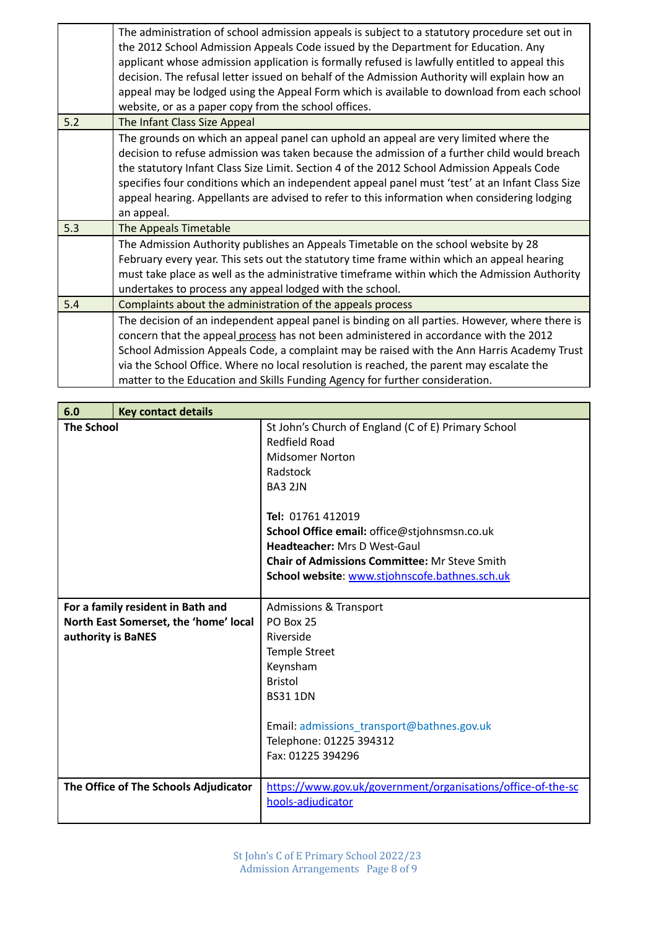|     | The administration of school admission appeals is subject to a statutory procedure set out in<br>the 2012 School Admission Appeals Code issued by the Department for Education. Any<br>applicant whose admission application is formally refused is lawfully entitled to appeal this<br>decision. The refusal letter issued on behalf of the Admission Authority will explain how an<br>appeal may be lodged using the Appeal Form which is available to download from each school<br>website, or as a paper copy from the school offices. |
|-----|--------------------------------------------------------------------------------------------------------------------------------------------------------------------------------------------------------------------------------------------------------------------------------------------------------------------------------------------------------------------------------------------------------------------------------------------------------------------------------------------------------------------------------------------|
| 5.2 | The Infant Class Size Appeal                                                                                                                                                                                                                                                                                                                                                                                                                                                                                                               |
|     | The grounds on which an appeal panel can uphold an appeal are very limited where the<br>decision to refuse admission was taken because the admission of a further child would breach<br>the statutory Infant Class Size Limit. Section 4 of the 2012 School Admission Appeals Code<br>specifies four conditions which an independent appeal panel must 'test' at an Infant Class Size<br>appeal hearing. Appellants are advised to refer to this information when considering lodging<br>an appeal.                                        |
| 5.3 | The Appeals Timetable                                                                                                                                                                                                                                                                                                                                                                                                                                                                                                                      |
|     | The Admission Authority publishes an Appeals Timetable on the school website by 28<br>February every year. This sets out the statutory time frame within which an appeal hearing<br>must take place as well as the administrative timeframe within which the Admission Authority<br>undertakes to process any appeal lodged with the school.                                                                                                                                                                                               |
| 5.4 | Complaints about the administration of the appeals process                                                                                                                                                                                                                                                                                                                                                                                                                                                                                 |
|     | The decision of an independent appeal panel is binding on all parties. However, where there is<br>concern that the appeal process has not been administered in accordance with the 2012<br>School Admission Appeals Code, a complaint may be raised with the Ann Harris Academy Trust<br>via the School Office. Where no local resolution is reached, the parent may escalate the<br>matter to the Education and Skills Funding Agency for further consideration.                                                                          |

| 6.0                                   | <b>Key contact details</b>            |                                                              |
|---------------------------------------|---------------------------------------|--------------------------------------------------------------|
| <b>The School</b>                     |                                       | St John's Church of England (C of E) Primary School          |
|                                       |                                       | <b>Redfield Road</b>                                         |
|                                       |                                       | Midsomer Norton                                              |
|                                       |                                       | Radstock                                                     |
|                                       |                                       | BA3 2JN                                                      |
|                                       |                                       |                                                              |
|                                       |                                       | Tel: 01761 412019                                            |
|                                       |                                       | School Office email: office@stjohnsmsn.co.uk                 |
|                                       |                                       | Headteacher: Mrs D West-Gaul                                 |
|                                       |                                       | <b>Chair of Admissions Committee: Mr Steve Smith</b>         |
|                                       |                                       | School website: www.stjohnscofe.bathnes.sch.uk               |
|                                       |                                       |                                                              |
| For a family resident in Bath and     |                                       | <b>Admissions &amp; Transport</b>                            |
| North East Somerset, the 'home' local |                                       | <b>PO Box 25</b>                                             |
| authority is BaNES                    |                                       | Riverside                                                    |
|                                       |                                       | <b>Temple Street</b>                                         |
|                                       |                                       | Keynsham                                                     |
|                                       |                                       | <b>Bristol</b>                                               |
|                                       |                                       | <b>BS31 1DN</b>                                              |
|                                       |                                       |                                                              |
|                                       |                                       | Email: admissions_transport@bathnes.gov.uk                   |
|                                       |                                       | Telephone: 01225 394312                                      |
|                                       |                                       | Fax: 01225 394296                                            |
|                                       | The Office of The Schools Adjudicator | https://www.gov.uk/government/organisations/office-of-the-sc |
|                                       |                                       | hools-adjudicator                                            |
|                                       |                                       |                                                              |